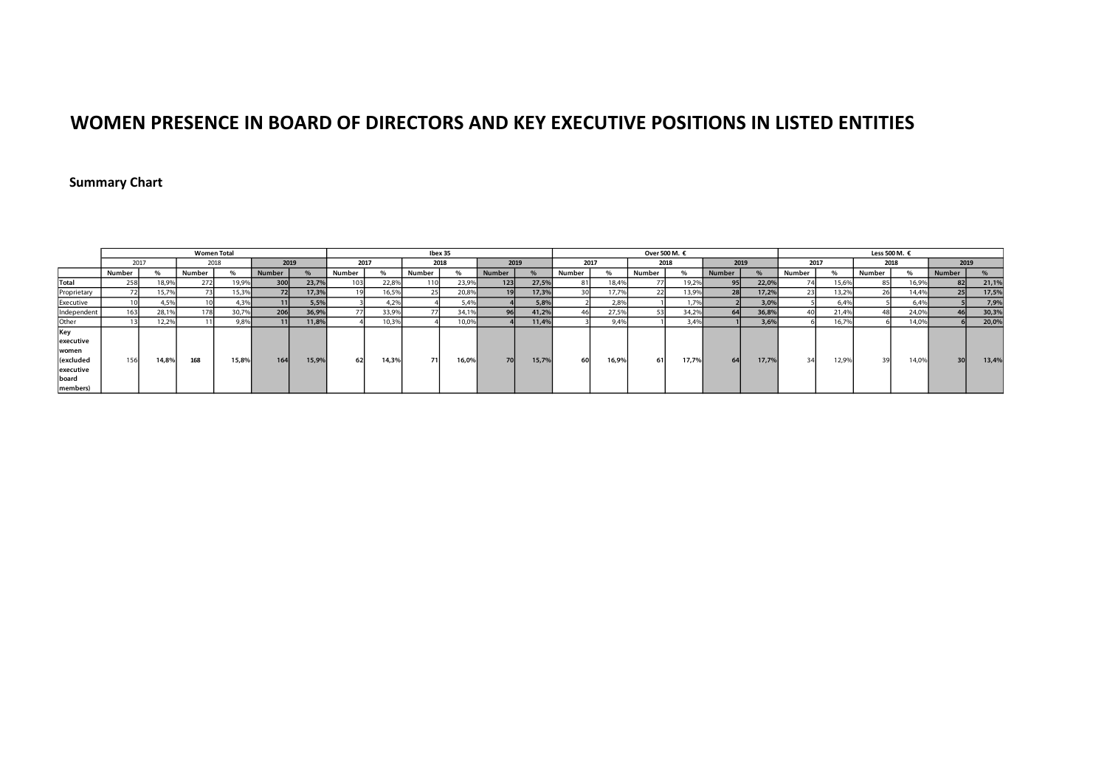### **WOMEN PRESENCE IN BOARD OF DIRECTORS AND KEY EXECUTIVE POSITIONS IN LISTED ENTITIES**

### **Summary Chart**

|                                                                          |        |       | <b>Women Total</b> |       |                  |       |                 |       | Ibex 35 |       |               |       | Over 500 M. € |       |        |       |               |       |        | Less 500 M. $€$ |        |       |                 |       |  |  |
|--------------------------------------------------------------------------|--------|-------|--------------------|-------|------------------|-------|-----------------|-------|---------|-------|---------------|-------|---------------|-------|--------|-------|---------------|-------|--------|-----------------|--------|-------|-----------------|-------|--|--|
|                                                                          | 2017   |       | 2018               |       | 2019             |       | 2017            |       | 2018    |       | 2019          |       | 2017          |       | 2018   |       | 2019          |       | 2017   |                 | 2018   |       | 2019            |       |  |  |
|                                                                          | Number |       | Number             |       | Number           |       | Number          |       | Number  |       | <b>Number</b> |       | Number        | $\%$  | Number | %     | <b>Number</b> |       | Number | %               | Number |       | Number          |       |  |  |
| Total                                                                    | 258    | 18,9% | 272                | 19,9% | 300 <sup>1</sup> | 23,7% | 10 <sup>3</sup> | 22.89 | 110     | 23,9% | 123           | 27,5% |               | 18,4% |        | 19,2% | 95            | 22,0% | 74     | 15,6%           |        | 16,9% | 82              | 21,1% |  |  |
| Proprietary                                                              |        | 15,7% |                    | 15,3% | 72               | 17,3% |                 | 16,5% |         | 20,8% | 19            | 17,3% |               | 17.7% |        | 13,9% | 28            | 17,2% | 23     | 13,2%           |        | 14.4% | 25              | 17,5% |  |  |
| Executive                                                                |        | 4,59  |                    | 4.3%  | 11               | 5,5%  |                 | 4.29  |         | 5,4%  |               | 5,8%  |               | 2.8%  |        | 1.7%  |               | 3,0%  |        | 6.4%            |        | 6.4%  |                 | 7,9%  |  |  |
| Independent                                                              | 163    | 28,1% | 178                | 30,7% | 206              | 36,9% |                 | 33,9% |         | 34,1% | 96            | 41,2% |               | 27,5% |        | 34,2% | 64            | 36,8% | 40     | 21,4%           |        | 24,0% | 46              | 30,3% |  |  |
| Other                                                                    |        | 12,2% |                    | 9,8%  | 91 B.            | 11,8% |                 | 0,39  |         | 10,0% |               | 11,4% |               | 9,49  |        | 3,4%  |               | 3.69  |        | 16,79           |        | 14,0% |                 | 20,0% |  |  |
| Key<br>executive<br>women<br>(excluded<br>executive<br>board<br>members) | 156    | 14.8% | 168                | 15,8% | 164              | 15,9% | 62              | 14,3% | 71      | 16,0% | 70            | 15,7% | 60            | 16.9% | 61     | 17,7% | 64            | 17,79 | 34     | 12,9%           | 39     | 14,0% | 30 <sup>1</sup> | 13,4% |  |  |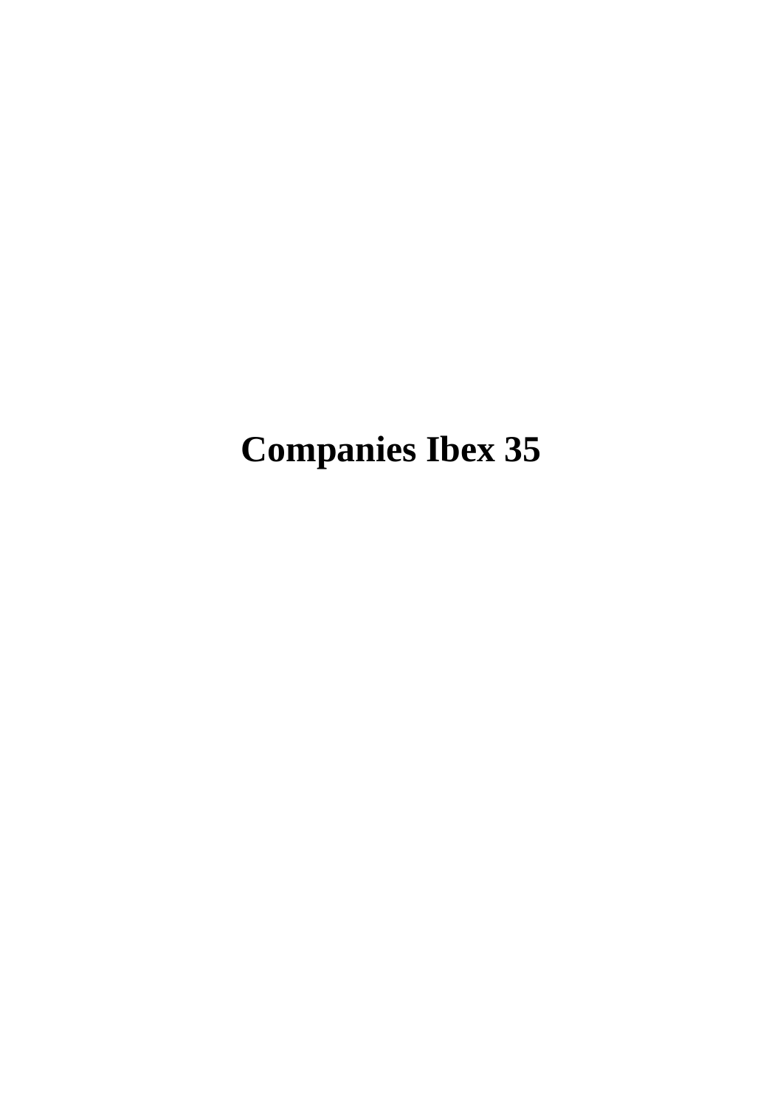# **Companies Ibex 35**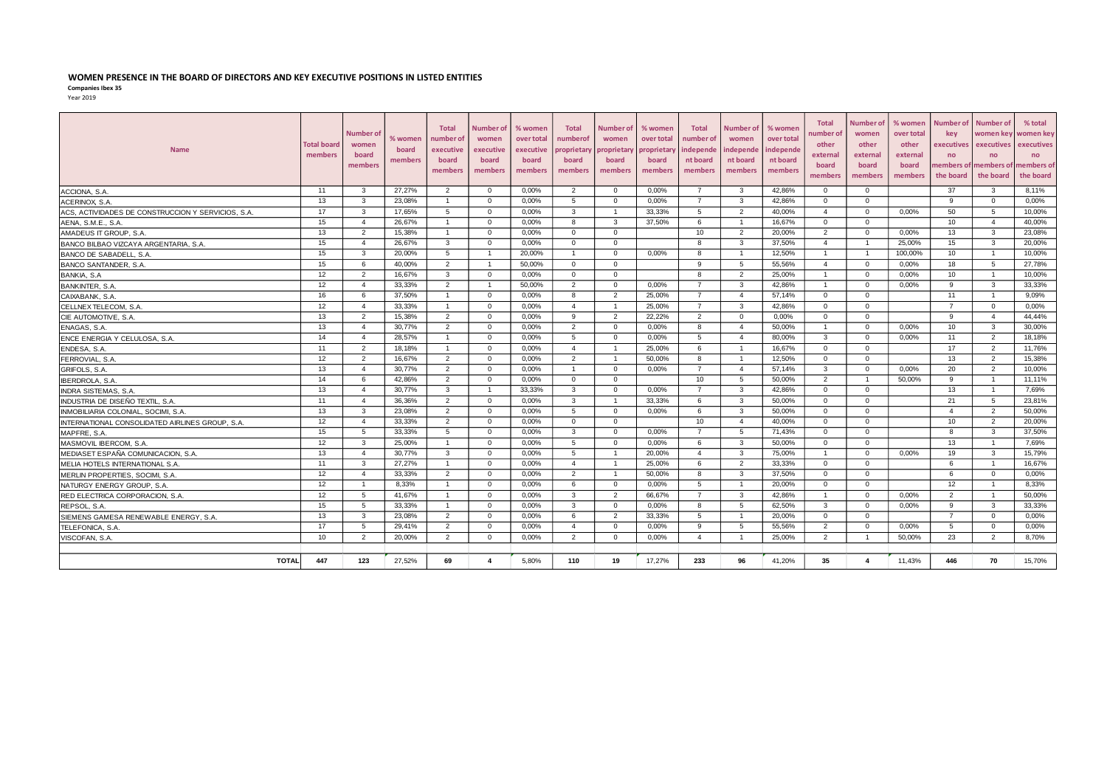#### **WOMEN PRESENCE IN THE BOARD OF DIRECTORS AND KEY EXECUTIVE POSITIONS IN LISTED ENTITIES**

**Companies Ibex 35**

|--|--|

| <b>Name</b>                                        | <b>Total board</b><br>members | Number of<br>women<br>board<br>members | % women<br>board<br>members | <b>Total</b><br>number of<br>executive<br>board<br>members | Number o<br>women<br>executive<br>board<br>members | % women<br>over total<br>executive<br>board<br>members | <b>Total</b><br>numberof<br>proprietary<br>board<br>members | Number of<br>women<br><b>proprietar</b><br>board<br>members | % women<br>over total<br>proprietary<br>board<br>members | <b>Total</b><br>number of<br>independe<br>nt board<br>members | Number of<br>women<br>ndepende<br>nt board<br>members | % womer<br>over total<br>ndepende<br>nt board<br>members | <b>Total</b><br>number of<br>other<br>external<br>board<br>members | Number of<br>women<br>other<br>external<br>board<br>members | % women<br>over total<br>other<br>external<br>board<br>members | Number of<br><b>kev</b><br>executives<br>no<br>the board | <b>Number of</b><br>women kev<br>executives<br>no<br>nembers of members of<br>the board | % total<br>women key<br>executives<br>no<br>members of<br>the board |
|----------------------------------------------------|-------------------------------|----------------------------------------|-----------------------------|------------------------------------------------------------|----------------------------------------------------|--------------------------------------------------------|-------------------------------------------------------------|-------------------------------------------------------------|----------------------------------------------------------|---------------------------------------------------------------|-------------------------------------------------------|----------------------------------------------------------|--------------------------------------------------------------------|-------------------------------------------------------------|----------------------------------------------------------------|----------------------------------------------------------|-----------------------------------------------------------------------------------------|---------------------------------------------------------------------|
| ACCIONA, S.A.                                      | 11                            | $\mathbf{3}$                           | 27.27%                      | 2                                                          | $\overline{0}$                                     | 0,00%                                                  | $\overline{2}$                                              | $\overline{0}$                                              | 0.00%                                                    | $\overline{7}$                                                | 3                                                     | 42.86%                                                   | $\overline{0}$                                                     | $\mathbf{0}$                                                |                                                                | 37                                                       | 3                                                                                       | 8,11%                                                               |
| ACERINOX, S.A.                                     | 13                            | 3                                      | 23.08%                      | $\overline{1}$                                             | $\overline{0}$                                     | 0.00%                                                  | 5                                                           | $\Omega$                                                    | 0.00%                                                    | $\overline{7}$                                                | 3                                                     | 42.86%                                                   | $\mathbf{0}$                                                       | $\Omega$                                                    |                                                                | $\alpha$                                                 | $\overline{0}$                                                                          | 0.00%                                                               |
| ACS, ACTIVIDADES DE CONSTRUCCION Y SERVICIOS, S.A. | 17                            | 3                                      | 17,65%                      | 5                                                          | $\overline{0}$                                     | 0,00%                                                  | 3                                                           | $\overline{1}$                                              | 33,33%                                                   | 5                                                             | $\overline{2}$                                        | 40,00%                                                   | $\overline{a}$                                                     | $\Omega$                                                    | 0,00%                                                          | 50                                                       | 5                                                                                       | 10,00%                                                              |
| AENA, S.M.E., S.A                                  | 15                            | $\overline{4}$                         | 26.67%                      | $\overline{1}$                                             | $\overline{0}$                                     | 0.00%                                                  | 8                                                           | 3                                                           | 37.50%                                                   | 6                                                             | $\overline{1}$                                        | 16.67%                                                   | $\overline{0}$                                                     | $\mathbf{0}$                                                |                                                                | 10                                                       | $\overline{4}$                                                                          | 40.00%                                                              |
| AMADEUS IT GROUP, S.A.                             | 13                            | $\overline{2}$                         | 15,38%                      | $\overline{1}$                                             | $\overline{0}$                                     | 0,00%                                                  | $\Omega$                                                    | $\Omega$                                                    |                                                          | 10                                                            | 2                                                     | 20,00%                                                   | $\overline{2}$                                                     | $\Omega$                                                    | 0.00%                                                          | 13                                                       | 3                                                                                       | 23.08%                                                              |
| BANCO BILBAO VIZCAYA ARGENTARIA, S.A.              | 15                            | $\overline{4}$                         | 26,67%                      | 3                                                          | $\mathbf{0}$                                       | 0,00%                                                  | $\mathbf{0}$                                                | $\Omega$                                                    |                                                          | 8                                                             | 3                                                     | 37,50%                                                   | $\overline{4}$                                                     |                                                             | 25,00%                                                         | 15                                                       | 3                                                                                       | 20,00%                                                              |
| BANCO DE SABADELL, S.A.                            | 15                            | 3                                      | 20.00%                      | 5                                                          | $\overline{1}$                                     | 20,00%                                                 | $\overline{1}$                                              | $\overline{0}$                                              | 0.00%                                                    | 8                                                             | $\overline{1}$                                        | 12.50%                                                   | $\overline{1}$                                                     | $\overline{1}$                                              | 100.00%                                                        | 10 <sup>1</sup>                                          | $\overline{1}$                                                                          | 10.00%                                                              |
| BANCO SANTANDER, S.A.                              | 15                            | 6                                      | 40,00%                      | $\overline{2}$                                             | $\overline{1}$                                     | 50,00%                                                 | $\mathbf{0}$                                                | $\overline{0}$                                              |                                                          | 9                                                             | 5                                                     | 55,56%                                                   | $\overline{4}$                                                     | $\mathbf{0}$                                                | 0,00%                                                          | 18                                                       | 5                                                                                       | 27,78%                                                              |
| BANKIA, S.A                                        | 12                            | 2                                      | 16,67%                      | 3                                                          | $\mathbf{0}$                                       | 0,00%                                                  | $^{\circ}$                                                  | $\Omega$                                                    |                                                          | 8                                                             | $\overline{2}$                                        | 25,00%                                                   | $\overline{1}$                                                     | $\Omega$                                                    | 0,00%                                                          | 10                                                       | $\overline{1}$                                                                          | 10,00%                                                              |
| BANKINTER, S.A.                                    | 12                            | $\mathbf{A}$                           | 33,33%                      | 2                                                          | $\overline{1}$                                     | 50,00%                                                 | $\overline{2}$                                              | $\Omega$                                                    | 0,00%                                                    | $\overline{7}$                                                | 3                                                     | 42,86%                                                   | $\overline{1}$                                                     | $\Omega$                                                    | 0,00%                                                          | $\mathbf{q}$                                             | 3                                                                                       | 33,33%                                                              |
| CAIXABANK, S.A.                                    | 16                            | -6                                     | 37,50%                      | $\overline{1}$                                             | $\overline{0}$                                     | 0,00%                                                  | 8                                                           | $\overline{2}$                                              | 25,00%                                                   | $\overline{7}$                                                | $\overline{4}$                                        | 57,14%                                                   | $\mathbf{0}$                                                       | $\Omega$                                                    |                                                                | 11                                                       | $\overline{1}$                                                                          | 9,09%                                                               |
| CELLNEX TELECOM, S.A                               | 12                            | $\overline{4}$                         | 33,33%                      |                                                            | $\Omega$                                           | 0,00%                                                  | $\overline{4}$                                              |                                                             | 25,00%                                                   | $\overline{7}$                                                | 3                                                     | 42,86%                                                   | $\Omega$                                                           | $\Omega$                                                    |                                                                |                                                          | $\mathbf{0}$                                                                            | 0,00%                                                               |
| CIE AUTOMOTIVE, S.A.                               | 13                            | $\overline{2}$                         | 15,38%                      | 2                                                          | $\overline{0}$                                     | 0,00%                                                  | 9                                                           | $\overline{2}$                                              | 22,22%                                                   | $\overline{2}$                                                | $\mathbf 0$                                           | 0,00%                                                    | $\Omega$                                                           | $\Omega$                                                    |                                                                | 9                                                        | $\overline{4}$                                                                          | 44,44%                                                              |
| ENAGAS, S.A.                                       | 13                            | $\overline{4}$                         | 30,77%                      | 2                                                          | $\mathbf{0}$                                       | 0.00%                                                  | $\overline{2}$                                              | $\overline{0}$                                              | 0.00%                                                    | 8                                                             | $\overline{4}$                                        | 50.00%                                                   | $\overline{1}$                                                     | $\Omega$                                                    | 0.00%                                                          | 10                                                       | 3                                                                                       | 30.00%                                                              |
| ENCE ENERGIA Y CELULOSA, S.A.                      | 14                            | $\overline{4}$                         | 28,57%                      | $\overline{1}$                                             | $\overline{0}$                                     | 0,00%                                                  | 5                                                           | $\Omega$                                                    | 0.00%                                                    | 5                                                             | $\overline{4}$                                        | 80.00%                                                   | $\mathbf{3}$                                                       | $\Omega$                                                    | 0,00%                                                          | 11                                                       | 2                                                                                       | 18,18%                                                              |
| ENDESA, S.A.                                       | 11                            | 2                                      | 18,18%                      | $\overline{1}$                                             | $\overline{0}$                                     | 0,00%                                                  | $\overline{4}$                                              | $\overline{1}$                                              | 25,00%                                                   | 6                                                             | $\overline{1}$                                        | 16,67%                                                   | $\mathbf{0}$                                                       | $\Omega$                                                    |                                                                | 17                                                       | $\overline{2}$                                                                          | 11,76%                                                              |
| FERROVIAL, S.A.                                    | 12                            | 2                                      | 16,67%                      | 2                                                          | $\overline{0}$                                     | 0,00%                                                  | 2                                                           | $\overline{1}$                                              | 50.00%                                                   | 8                                                             | $\overline{1}$                                        | 12,50%                                                   | $\mathbf{0}$                                                       | $\Omega$                                                    |                                                                | 13                                                       | $\overline{2}$                                                                          | 15,38%                                                              |
| GRIFOLS, S.A.                                      | 13                            | $\overline{4}$                         | 30,77%                      | 2                                                          | $\overline{0}$                                     | 0,00%                                                  | $\overline{1}$                                              | $\overline{0}$                                              | 0,00%                                                    | $\overline{7}$                                                | $\overline{4}$                                        | 57,14%                                                   | 3                                                                  | $\Omega$                                                    | 0,00%                                                          | 20                                                       | $\overline{2}$                                                                          | 10,00%                                                              |
| <b>IBERDROLA, S.A</b>                              | 14                            | 6                                      | 42,86%                      | 2                                                          | $\overline{0}$                                     | 0,00%                                                  | $\mathbf{0}$                                                | $\mathbf{0}$                                                |                                                          | 10                                                            | 5                                                     | 50.00%                                                   | 2                                                                  | -1                                                          | 50,00%                                                         | 9                                                        | $\overline{1}$                                                                          | 11,11%                                                              |
| <b>INDRA SISTEMAS, S.A.</b>                        | 13                            | $\overline{4}$                         | 30,77%                      | $\mathbf{3}$                                               | $\overline{1}$                                     | 33,33%                                                 | 3                                                           | $\overline{0}$                                              | 0,00%                                                    | $\overline{7}$                                                | $\mathbf{3}$                                          | 42,86%                                                   | $\overline{0}$                                                     | $\mathbf{0}$                                                |                                                                | 13                                                       | $\overline{1}$                                                                          | 7,69%                                                               |
| INDUSTRIA DE DISEÑO TEXTIL, S.A.                   | 11                            | $\overline{4}$                         | 36.36%                      | 2                                                          | $\overline{0}$                                     | 0.00%                                                  | 3                                                           |                                                             | 33.33%                                                   | 6                                                             | 3                                                     | 50.00%                                                   | $\mathbf{0}$                                                       | $\overline{0}$                                              |                                                                | 21                                                       | 5                                                                                       | 23.81%                                                              |
| INMOBILIARIA COLONIAL, SOCIMI, S.A.                | 13                            | 3                                      | 23,08%                      | 2                                                          | $\overline{0}$                                     | 0,00%                                                  | 5                                                           | $\overline{0}$                                              | 0,00%                                                    | 6                                                             | 3                                                     | 50,00%                                                   | $\mathbf{0}$                                                       | $\Omega$                                                    |                                                                | $\overline{4}$                                           | $\overline{2}$                                                                          | 50,00%                                                              |
| INTERNATIONAL CONSOLIDATED AIRLINES GROUP, S.A.    | 12                            | $\overline{4}$                         | 33.33%                      | 2                                                          | $\mathbf{0}$                                       | 0.00%                                                  | $\mathbf{0}$                                                | $\overline{0}$                                              |                                                          | 10                                                            | $\overline{4}$                                        | 40.00%                                                   | $\overline{0}$                                                     | $\overline{0}$                                              |                                                                | 10                                                       | 2                                                                                       | 20.00%                                                              |
| MAPFRE, S.A.                                       | 15                            | 5                                      | 33,33%                      | 5                                                          | $\overline{0}$                                     | 0,00%                                                  | 3                                                           | $\overline{0}$                                              | 0.00%                                                    | $\overline{7}$                                                | 5                                                     | 71,43%                                                   | $\overline{0}$                                                     | $\Omega$                                                    |                                                                | 8                                                        | 3                                                                                       | 37,50%                                                              |
| MASMOVIL IBERCOM, S.A.                             | 12                            | 3                                      | 25,00%                      |                                                            | $\mathbf{0}$                                       | 0,00%                                                  | 5                                                           | $\Omega$                                                    | 0,00%                                                    | 6                                                             | 3                                                     | 50,00%                                                   | $\mathbf 0$                                                        | $\overline{0}$                                              |                                                                | 13                                                       | $\overline{1}$                                                                          | 7,69%                                                               |
| MEDIASET ESPAÑA COMUNICACION, S.A.                 | 13                            | $\overline{4}$                         | 30,77%                      | 3                                                          | $\overline{0}$                                     | 0,00%                                                  | 5                                                           | $\overline{1}$                                              | 20.00%                                                   | $\overline{4}$                                                | 3                                                     | 75.00%                                                   | $\overline{1}$                                                     | $\Omega$                                                    | 0.00%                                                          | 19                                                       | 3                                                                                       | 15,79%                                                              |
| MELIA HOTELS INTERNATIONAL S.A                     | 11                            | 3                                      | 27,27%                      |                                                            | $\overline{0}$                                     | 0,00%                                                  | $\overline{4}$                                              |                                                             | 25,00%                                                   | 6                                                             | $\overline{2}$                                        | 33,33%                                                   | $\overline{0}$                                                     | $\Omega$                                                    |                                                                | 6                                                        | $\overline{1}$                                                                          | 16,67%                                                              |
| MERLIN PROPERTIES, SOCIMI, S.A.                    | 12                            | $\overline{4}$                         | 33.33%                      | 2                                                          | $\mathbf{0}$                                       | 0,00%                                                  | 2                                                           | $\overline{1}$                                              | 50.00%                                                   | 8                                                             | 3                                                     | 37,50%                                                   | $\mathbf{0}$                                                       | $\Omega$                                                    |                                                                | 6                                                        | $\overline{0}$                                                                          | 0.00%                                                               |
| NATURGY ENERGY GROUP, S.A.                         | 12                            | $\overline{1}$                         | 8.33%                       |                                                            | $\overline{0}$                                     | 0,00%                                                  | 6                                                           | $\Omega$                                                    | 0.00%                                                    | 5                                                             | $\overline{1}$                                        | 20,00%                                                   | $\Omega$                                                           | $\Omega$                                                    |                                                                | 12                                                       | $\overline{1}$                                                                          | 8,33%                                                               |
| RED ELECTRICA CORPORACION, S.A.                    | 12                            | 5                                      | 41.67%                      | $\overline{1}$                                             | $\overline{0}$                                     | 0.00%                                                  | 3                                                           | $\overline{2}$                                              | 66.67%                                                   | $\overline{7}$                                                | $\mathbf{3}$                                          | 42.86%                                                   | $\overline{1}$                                                     | $\Omega$                                                    | $0.00\%$                                                       | 2                                                        | $\overline{1}$                                                                          | 50.00%                                                              |
| REPSOL, S.A.                                       | 15                            | 5                                      | 33.33%                      |                                                            | $\overline{0}$                                     | 0.00%                                                  | 3                                                           | $\overline{0}$                                              | 0.00%                                                    | 8                                                             | 5                                                     | 62.50%                                                   | $\mathbf{3}$                                                       | $\Omega$                                                    | 0.00%                                                          | 9                                                        | 3                                                                                       | 33.33%                                                              |
| SIEMENS GAMESA RENEWABLE ENERGY, S.A.              | 13                            | 3                                      | 23,08%                      | 2                                                          | $\overline{0}$                                     | 0,00%                                                  | 6                                                           | $\overline{2}$                                              | 33,33%                                                   | 5                                                             | $\overline{1}$                                        | 20,00%                                                   | $\mathbf{0}$                                                       | $\Omega$                                                    |                                                                | $\overline{7}$                                           | $\overline{0}$                                                                          | 0,00%                                                               |
| TELEFONICA, S.A.                                   | 17                            | -5                                     | 29,41%                      | 2                                                          | $\overline{0}$                                     | 0,00%                                                  | $\overline{4}$                                              | $\Omega$                                                    | 0.00%                                                    | 9                                                             | 5                                                     | 55.56%                                                   | $\overline{2}$                                                     | $\Omega$                                                    | 0.00%                                                          | -5                                                       | $\overline{0}$                                                                          | 0.00%                                                               |
| VISCOFAN, S.A                                      | 10                            | 2                                      | 20,00%                      | 2                                                          | $\mathbf{0}$                                       | 0,00%                                                  | 2                                                           | $\mathbf{0}$                                                | 0,00%                                                    | $\overline{4}$                                                | $\overline{1}$                                        | 25,00%                                                   | 2                                                                  | -1                                                          | 50,00%                                                         | 23                                                       | 2                                                                                       | 8,70%                                                               |
| <b>TOTAL</b>                                       | 447                           | 123                                    | 27,52%                      | 69                                                         | $\overline{4}$                                     | 5,80%                                                  | 110                                                         | 19                                                          | 17,27%                                                   | 233                                                           | 96                                                    | 41,20%                                                   | 35                                                                 | $\boldsymbol{4}$                                            | 11,43%                                                         | 446                                                      | 70                                                                                      | 15,70%                                                              |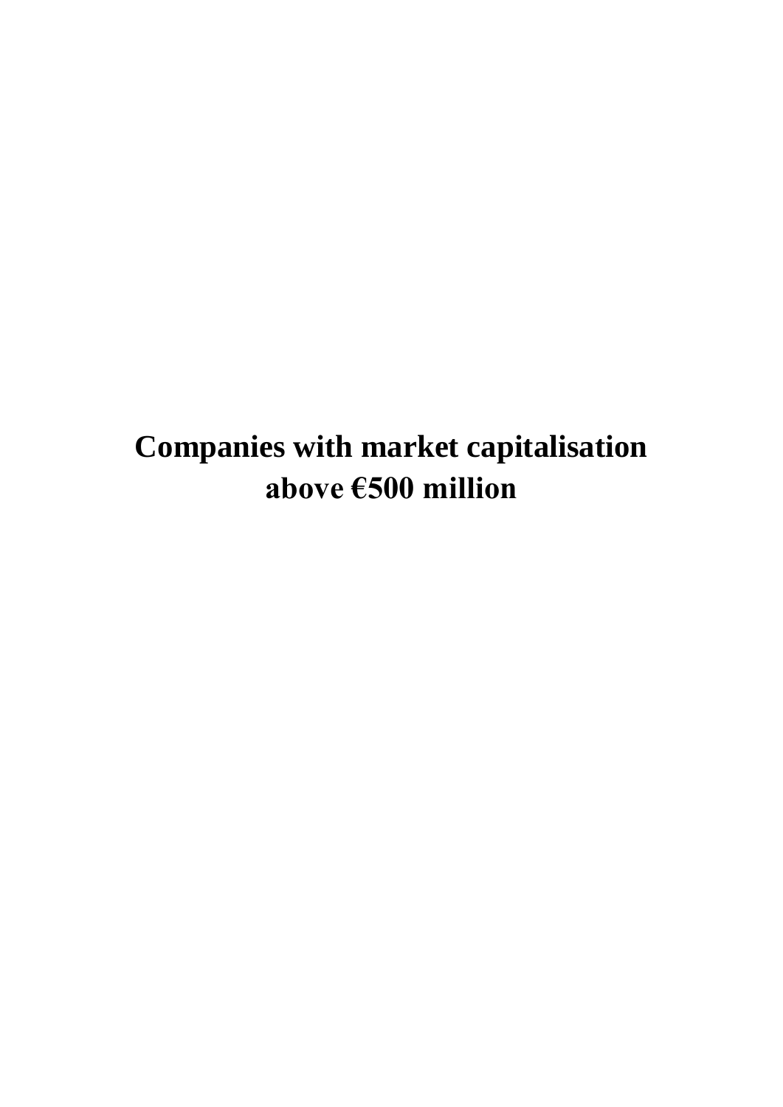## **Companies with market capitalisation above €500 million**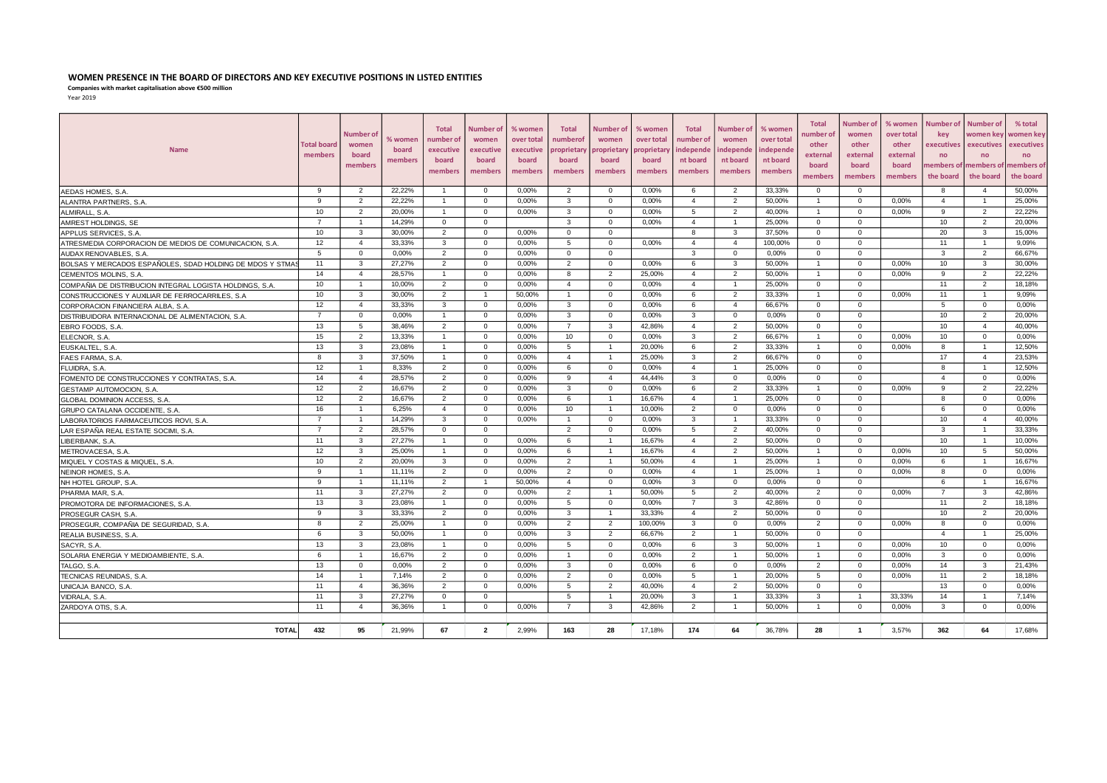### **WOMEN PRESENCE IN THE BOARD OF DIRECTORS AND KEY EXECUTIVE POSITIONS IN LISTED ENTITIES**

**Companies with market capitalisation above €500 million**

| מי - |  |
|------|--|
|------|--|

| <b>Name</b>                                              |                | Number of<br>women<br>board<br>members | % women<br>board<br>members | <b>Total</b><br>number of<br>executive<br>board<br>members | <b>Number of</b><br>women<br>executive<br>board<br>members | % women<br>over total<br>executive<br>board<br>members | <b>Total</b><br>numberof<br>roprietary<br>board<br>members | <b>Number of</b><br>women<br>oroprietary<br>board<br>members | % women<br>over total<br><i><b>roprietar</b></i><br>board<br>members | <b>Total</b><br>number of<br>independe<br>nt board<br>members | <b>Number of</b><br>women<br>independe<br>nt board<br>members | % women<br>over total<br>ndepende<br>nt board<br>members | <b>Total</b><br>ıumber of<br>other<br>external<br>board<br>members | Number of<br>women<br>other<br>external<br>board<br>members | % women<br>over total<br>other<br>external<br>board<br>members | Number of<br>kev<br>executives<br>no<br>nembers of<br>the board | <b>Number of</b><br>women key<br>executives<br>no<br>members of<br>the board | % total<br>women key<br>executives<br>no<br>nembers of<br>the board |
|----------------------------------------------------------|----------------|----------------------------------------|-----------------------------|------------------------------------------------------------|------------------------------------------------------------|--------------------------------------------------------|------------------------------------------------------------|--------------------------------------------------------------|----------------------------------------------------------------------|---------------------------------------------------------------|---------------------------------------------------------------|----------------------------------------------------------|--------------------------------------------------------------------|-------------------------------------------------------------|----------------------------------------------------------------|-----------------------------------------------------------------|------------------------------------------------------------------------------|---------------------------------------------------------------------|
| AEDAS HOMES, S.A.                                        | 9              | $\overline{2}$                         | 22,22%                      |                                                            | $\overline{0}$                                             | 0,00%                                                  | $\overline{2}$                                             | $\Omega$                                                     | 0.00%                                                                | 6                                                             | 2                                                             | 33,33%                                                   | $\overline{0}$                                                     | $\overline{0}$                                              |                                                                | 8                                                               | $\overline{4}$                                                               | 50,00%                                                              |
| ALANTRA PARTNERS, S.A                                    | 9              | 2                                      | 22.22%                      |                                                            | $\overline{0}$                                             | 0.00%                                                  | 3                                                          | $\Omega$                                                     | $0.00\%$                                                             | $\overline{4}$                                                | $\overline{2}$                                                | 50.00%                                                   | $\overline{1}$                                                     | $\Omega$                                                    | 0.00%                                                          | $\overline{4}$                                                  |                                                                              | 25.00%                                                              |
| ALMIRALL, S.A.                                           | 10             | $\overline{2}$                         | 20,00%                      | $\mathbf{1}$                                               | $\mathbf 0$                                                | 0,00%                                                  | 3                                                          | $\Omega$                                                     | 0,00%                                                                | 5                                                             | $\overline{2}$                                                | 40,00%                                                   | $\mathbf{1}$                                                       | $\Omega$                                                    | 0,00%                                                          | 9                                                               | $\overline{2}$                                                               | 22,22%                                                              |
| AMREST HOLDINGS, SE                                      | $\overline{7}$ |                                        | 14,29%                      | 0                                                          | $\overline{0}$                                             |                                                        | 3                                                          | $\Omega$                                                     | 0,00%                                                                | $\overline{4}$                                                | $\overline{1}$                                                | 25,00%                                                   | $\mathbf{0}$                                                       | $\Omega$                                                    |                                                                | 10                                                              | $\overline{2}$                                                               | 20,00%                                                              |
| APPLUS SERVICES, S.A.                                    | 10             | 3                                      | 30.00%                      | $\overline{2}$                                             | $\overline{0}$                                             | 0,00%                                                  | $\Omega$                                                   | $\Omega$                                                     |                                                                      | 8                                                             | 3                                                             | 37,50%                                                   | $\Omega$                                                           | $\Omega$                                                    |                                                                | 20                                                              | 3                                                                            | 15.00%                                                              |
| ATRESMEDIA CORPORACION DE MEDIOS DE COMUNICACION, S.A    | 12             | $\overline{4}$                         | 33,33%                      | $\mathbf{3}$                                               | $\mathbf 0$                                                | 0,00%                                                  | 5                                                          | $\Omega$                                                     | 0,00%                                                                | $\overline{4}$                                                | $\overline{4}$                                                | 100,00%                                                  | $\Omega$                                                           | $\Omega$                                                    |                                                                | 11                                                              |                                                                              | 9,09%                                                               |
| AUDAX RENOVABLES, S.A.                                   | -5             | $\Omega$                               | 0,00%                       | $\overline{2}$                                             | $\overline{0}$                                             | 0,00%                                                  | $\Omega$                                                   | $\Omega$                                                     |                                                                      | $\overline{3}$                                                | $\circ$                                                       | 0,00%                                                    | $\Omega$                                                           | $\Omega$                                                    |                                                                | 3                                                               | $\overline{2}$                                                               | 66,67%                                                              |
| BOLSAS Y MERCADOS ESPAÑOLES, SDAD HOLDING DE MDOS Y STMA | 11             | $\mathbf{3}$                           | 27,27%                      | 2                                                          | $\overline{0}$                                             | 0,00%                                                  | $\overline{2}$                                             | $\Omega$                                                     | 0,00%                                                                | 6                                                             | 3                                                             | 50,00%                                                   | $\overline{1}$                                                     | $\Omega$                                                    | 0,00%                                                          | 10                                                              | 3                                                                            | 30,00%                                                              |
| CEMENTOS MOLINS, S.A.                                    | 14             | $\overline{4}$                         | 28,57%                      | $\overline{1}$                                             | $\mathbf 0$                                                | 0,00%                                                  | 8                                                          | $\overline{2}$                                               | 25,00%                                                               | $\overline{4}$                                                | $\overline{2}$                                                | 50,00%                                                   | -1                                                                 | $\mathbf 0$                                                 | 0,00%                                                          | 9                                                               | $\overline{2}$                                                               | 22,22%                                                              |
| COMPAÑIA DE DISTRIBUCION INTEGRAL LOGISTA HOLDINGS, S.A. | 10             |                                        | 10,00%                      | $\overline{2}$                                             | $\overline{0}$                                             | 0,00%                                                  | $\overline{4}$                                             | $\Omega$                                                     | 0,00%                                                                | $\overline{4}$                                                | $\overline{1}$                                                | 25,00%                                                   | $\mathbf{0}$                                                       | $\Omega$                                                    |                                                                | 11                                                              | $\overline{2}$                                                               | 18,18%                                                              |
| CONSTRUCCIONES Y AUXILIAR DE FERROCARRILES, S.A          | 10             | $\mathbf{3}$                           | 30,00%                      | $\overline{2}$                                             | $\overline{1}$                                             | 50,00%                                                 | $\overline{1}$                                             | $\Omega$                                                     | 0,00%                                                                | 6                                                             | $\overline{2}$                                                | 33,33%                                                   | $\overline{1}$                                                     | $\overline{0}$                                              | 0,00%                                                          | 11                                                              | $\overline{1}$                                                               | 9,09%                                                               |
| CORPORACION FINANCIERA ALBA, S.A                         | 12             | $\overline{4}$                         | 33,33%                      | 3                                                          | $\overline{0}$                                             | 0,00%                                                  | $\mathbf{3}$                                               | $\Omega$                                                     | 0,00%                                                                | 6                                                             | $\overline{4}$                                                | 66,67%                                                   | $\mathbf 0$                                                        | $\mathbf 0$                                                 |                                                                | 5                                                               | $\mathbf 0$                                                                  | 0,00%                                                               |
| DISTRIBUIDORA INTERNACIONAL DE ALIMENTACION, S.A.        | $\overline{7}$ | $\mathbf 0$                            | 0,00%                       | $\overline{1}$                                             | $\overline{0}$                                             | 0,00%                                                  | $\mathbf{3}$                                               | $\mathbf 0$                                                  | 0,00%                                                                | 3                                                             | $\mathbf 0$                                                   | 0,00%                                                    | $\mathbf 0$                                                        | $\mathbf 0$                                                 |                                                                | 10                                                              | $\overline{2}$                                                               | 20,00%                                                              |
| EBRO FOODS, S.A                                          | 13             | 5                                      | 38,46%                      | $\overline{2}$                                             | $\overline{0}$                                             | 0,00%                                                  | $\overline{7}$                                             | $\mathbf{3}$                                                 | 42,86%                                                               | $\overline{4}$                                                | $\overline{2}$                                                | 50,00%                                                   | $\mathbf{0}$                                                       | $\overline{0}$                                              |                                                                | 10                                                              | $\overline{4}$                                                               | 40,00%                                                              |
| ELECNOR, S.A                                             | 15             | $\overline{2}$                         | 13,33%                      | $\overline{1}$                                             | $\overline{0}$                                             | 0,00%                                                  | 10                                                         | $\mathbf 0$                                                  | 0,00%                                                                | 3                                                             | $\overline{2}$                                                | 66,67%                                                   | $\overline{1}$                                                     | $\overline{0}$                                              | 0,00%                                                          | 10                                                              | $\mathbf 0$                                                                  | 0,00%                                                               |
| EUSKALTEL, S.A.                                          | 13             | $\mathbf{3}$                           | 23,08%                      | $\overline{1}$                                             | $\overline{0}$                                             | 0,00%                                                  | 5                                                          | $\overline{1}$                                               | 20,00%                                                               | 6                                                             | $\overline{2}$                                                | 33,33%                                                   | $\overline{1}$                                                     | $\mathbf 0$                                                 | 0,00%                                                          | 8                                                               | $\overline{1}$                                                               | 12,50%                                                              |
| FAES FARMA, S.A.                                         | 8              | $\mathbf{3}$                           | 37,50%                      | $\overline{1}$                                             | $\overline{0}$                                             | 0,00%                                                  | $\overline{4}$                                             | $\overline{1}$                                               | 25,00%                                                               | 3                                                             | $\overline{2}$                                                | 66,67%                                                   | $\mathbf{0}$                                                       | $\overline{0}$                                              |                                                                | 17                                                              | $\overline{4}$                                                               | 23,53%                                                              |
| FLUIDRA, S.A.                                            | 12             | - 1                                    | 8,33%                       | 2                                                          | $\overline{0}$                                             | 0,00%                                                  | 6                                                          | $\Omega$                                                     | 0,00%                                                                | $\overline{4}$                                                | $\mathbf{1}$                                                  | 25,00%                                                   | $\mathbf{0}$                                                       | $\Omega$                                                    |                                                                | 8                                                               | $\mathbf{1}$                                                                 | 12.50%                                                              |
| FOMENTO DE CONSTRUCCIONES Y CONTRATAS, S.A               | 14             | $\overline{4}$                         | 28,57%                      | $\overline{2}$                                             | $\overline{0}$                                             | 0,00%                                                  | 9                                                          | $\overline{4}$                                               | 44.44%                                                               | $\mathbf{3}$                                                  | $\mathbf 0$                                                   | 0,00%                                                    | $\mathbf{0}$                                                       | $\mathbf{0}$                                                |                                                                | $\overline{4}$                                                  | $\mathbf 0$                                                                  | 0,00%                                                               |
| GESTAMP AUTOMOCION, S.A.                                 | 12             | $\overline{2}$                         | 16,67%                      | 2                                                          | $\overline{0}$                                             | 0,00%                                                  | 3                                                          | $\Omega$                                                     | 0,00%                                                                | 6                                                             | 2                                                             | 33.33%                                                   | $\overline{1}$                                                     | $^{\circ}$                                                  | 0,00%                                                          | 9                                                               | 2                                                                            | 22,22%                                                              |
| GLOBAL DOMINION ACCESS, S.A.                             | 12             | 2                                      | 16.67%                      | 2                                                          | $\overline{0}$                                             | 0.00%                                                  | 6                                                          | $\overline{1}$                                               | 16.67%                                                               | $\overline{4}$                                                | $\overline{1}$                                                | 25.00%                                                   | $\mathbf{0}$                                                       | $^{\circ}$                                                  |                                                                | 8                                                               | $\mathbf{0}$                                                                 | 0.00%                                                               |
| GRUPO CATALANA OCCIDENTE, S.A.                           | 16             | $\overline{1}$                         | 6,25%                       | $\overline{4}$                                             | $\overline{0}$                                             | 0,00%                                                  | 10                                                         | $\mathbf{1}$                                                 | 10,00%                                                               | $\overline{2}$                                                | $\mathbf 0$                                                   | 0,00%                                                    | $\mathbf{0}$                                                       | $^{\circ}$                                                  |                                                                | 6                                                               | $\mathbf{0}$                                                                 | 0,00%                                                               |
| LABORATORIOS FARMACEUTICOS ROVI, S.A.                    | $\overline{7}$ | $\overline{1}$                         | 14,29%                      | 3                                                          | $\overline{0}$                                             | 0,00%                                                  | $\overline{1}$                                             | $\Omega$                                                     | 0,00%                                                                | 3                                                             | $\mathbf{1}$                                                  | 33,33%                                                   | $\mathbf{0}$                                                       | $\mathbf{0}$                                                |                                                                | 10                                                              | $\overline{4}$                                                               | 40.00%                                                              |
| LAR ESPAÑA REAL ESTATE SOCIMI, S.A                       | $\overline{7}$ | 2                                      | 28.57%                      | $\Omega$                                                   | $\overline{0}$                                             |                                                        | $\overline{2}$                                             | $\Omega$                                                     | $0.00\%$                                                             | 5                                                             | 2                                                             | 40.00%                                                   | $\Omega$                                                           | $^{\circ}$                                                  |                                                                | 3                                                               | $\mathbf{1}$                                                                 | 33.33%                                                              |
| LIBERBANK, S.A.                                          | 11             | $\mathbf{3}$                           | 27,27%                      | $\mathbf{1}$                                               | $\overline{0}$                                             | 0,00%                                                  | 6                                                          | $\overline{1}$                                               | 16,67%                                                               | $\overline{4}$                                                | $\overline{2}$                                                | 50,00%                                                   | $\mathbf 0$                                                        | $^{\circ}$                                                  |                                                                | 10                                                              | $\overline{1}$                                                               | 10,00%                                                              |
| METROVACESA, S.A                                         | 12             | $\mathbf{3}$                           | 25,00%                      | $\mathbf{1}$                                               | $\overline{0}$                                             | 0,00%                                                  | 6                                                          | $\mathbf{1}$                                                 | 16,67%                                                               | $\overline{4}$                                                | 2                                                             | 50,00%                                                   | $\overline{1}$                                                     | $^{\circ}$                                                  | 0,00%                                                          | 10                                                              | 5                                                                            | 50,00%                                                              |
| MIQUEL Y COSTAS & MIQUEL, S.A.                           | 10             | 2                                      | 20,00%                      | 3                                                          | $\overline{0}$                                             | 0,00%                                                  | $\overline{2}$                                             | $\overline{1}$                                               | 50,00%                                                               | $\overline{4}$                                                | $\overline{1}$                                                | 25,00%                                                   | $\overline{1}$                                                     | $^{\circ}$                                                  | 0,00%                                                          | 6                                                               | $\overline{1}$                                                               | 16,67%                                                              |
| NEINOR HOMES, S.A.                                       | 9              |                                        | 11,11%                      | $\overline{2}$                                             | $\mathbf 0$                                                | 0,00%                                                  | $\overline{2}$                                             | $\mathbf 0$                                                  | 0,00%                                                                | $\overline{4}$                                                | $\overline{1}$                                                | 25,00%                                                   | $\overline{1}$                                                     | $\mathbf 0$                                                 | 0,00%                                                          | 8                                                               | $\mathbf{0}$                                                                 | 0,00%                                                               |
| NH HOTEL GROUP, S.A.                                     | 9              | $\overline{1}$                         | 11,11%                      | $\overline{2}$                                             | $\overline{1}$                                             | 50,00%                                                 | $\overline{4}$                                             | $\overline{0}$                                               | 0,00%                                                                | 3                                                             | $\mathbf 0$                                                   | 0,00%                                                    | $\mathbf 0$                                                        | $\mathbf 0$                                                 |                                                                | 6                                                               | $\overline{1}$                                                               | 16,67%                                                              |
| PHARMA MAR. S.A.                                         | 11             | 3                                      | 27,27%                      | $\overline{2}$                                             | $\overline{0}$                                             | 0,00%                                                  | $\overline{2}$                                             |                                                              | 50,00%                                                               | 5                                                             | $\overline{2}$                                                | 40.00%                                                   | 2                                                                  | $\mathbf{0}$                                                | 0,00%                                                          | 7                                                               | $\mathbf{3}$                                                                 | 42,86%                                                              |
| PROMOTORA DE INFORMACIONES, S.A.                         | 13             | $\mathbf{3}$                           | 23,08%                      | $\mathbf{1}$                                               | $\overline{0}$                                             | 0,00%                                                  | 5                                                          | $\Omega$                                                     | 0,00%                                                                | $\overline{7}$                                                | 3                                                             | 42,86%                                                   | $\mathbf{0}$                                                       | $\mathbf 0$                                                 |                                                                | 11                                                              | $\overline{2}$                                                               | 18,18%                                                              |
| PROSEGUR CASH, S.A.                                      | 9              | $\mathbf{3}$                           | 33,33%                      | $\overline{2}$                                             | $\mathbf{0}$                                               | 0,00%                                                  | $\mathbf{3}$                                               | -1                                                           | 33,33%                                                               | $\overline{4}$                                                | $\overline{2}$                                                | 50,00%                                                   | $\mathbf 0$                                                        | $\mathbf 0$                                                 |                                                                | 10                                                              | 2                                                                            | 20,00%                                                              |
| PROSEGUR, COMPAÑIA DE SEGURIDAD, S.A.                    | 8              | 2                                      | 25,00%                      | $\overline{1}$                                             | $\overline{0}$                                             | 0,00%                                                  | 2                                                          | 2                                                            | 100,00%                                                              | 3                                                             | $\mathbf{0}$                                                  | 0,00%                                                    | 2                                                                  | $\mathbf{0}$                                                | 0,00%                                                          | 8                                                               | $\overline{0}$                                                               | 0,00%                                                               |
| REALIA BUSINESS, S.A.                                    | 6              | $\mathbf{3}$                           | 50,00%                      | $\mathbf{1}$                                               | $\overline{0}$                                             | 0,00%                                                  | 3                                                          | $\overline{2}$                                               | 66,67%                                                               | $\overline{2}$                                                | $\overline{1}$                                                | 50,00%                                                   | $\overline{0}$                                                     | $\mathbf 0$                                                 |                                                                | $\overline{4}$                                                  |                                                                              | 25,00%                                                              |
| SACYR, S.A                                               | 13             | $\mathbf{3}$                           | 23,08%                      | $\overline{1}$                                             | $\overline{0}$                                             | 0,00%                                                  | 5                                                          | $\overline{0}$                                               | 0,00%                                                                | 6                                                             | 3                                                             | 50,00%                                                   | $\overline{1}$                                                     | $\mathbf{0}$                                                | 0,00%                                                          | 10                                                              | $\mathbf 0$                                                                  | 0,00%                                                               |
| SOLARIA ENERGIA Y MEDIOAMBIENTE, S.A.                    | 6              |                                        | 16,67%                      | $\overline{2}$                                             | $\overline{0}$                                             | 0,00%                                                  | -1                                                         | $\overline{0}$                                               | 0,00%                                                                | $\overline{2}$                                                | $\overline{1}$                                                | 50,00%                                                   | $\overline{1}$                                                     | $^{\circ}$                                                  | 0,00%                                                          | 3                                                               | $\mathbf{0}$                                                                 | 0,00%                                                               |
| TALGO, S.A                                               | 13             | $\mathbf 0$                            | 0,00%                       | $\overline{2}$                                             | $\overline{0}$                                             | 0,00%                                                  | 3                                                          | $\Omega$                                                     | 0,00%                                                                | 6                                                             | $\mathbf 0$                                                   | 0,00%                                                    | $\overline{2}$                                                     | $\mathbf 0$                                                 | 0,00%                                                          | 14                                                              | $\mathbf{3}$                                                                 | 21,43%                                                              |
| TECNICAS REUNIDAS, S.A.                                  | 14             |                                        | 7,14%                       | $\overline{2}$                                             | $\overline{0}$                                             | 0.00%                                                  | $\overline{2}$                                             | $\Omega$                                                     | 0.00%                                                                | 5                                                             |                                                               | 20.00%                                                   | 5                                                                  | $\Omega$                                                    | 0.00%                                                          | 11                                                              | $\overline{2}$                                                               | 18,18%                                                              |
| UNICAJA BANCO, S.A.                                      | 11             | $\overline{4}$                         | 36.36%                      | $\overline{2}$                                             | $\overline{0}$                                             | 0,00%                                                  | $5\overline{5}$                                            | $\overline{2}$                                               | 40,00%                                                               | $\overline{4}$                                                | $\overline{2}$                                                | 50,00%                                                   | $\Omega$                                                           | $\Omega$                                                    |                                                                | 13                                                              | $^{\circ}$                                                                   | 0,00%                                                               |
| VIDRALA, S.A.                                            | 11             | $\mathbf{3}$                           | 27,27%                      | 0                                                          | $\overline{0}$                                             |                                                        | 5                                                          |                                                              | 20,00%                                                               | 3                                                             | $\overline{1}$                                                | 33,33%                                                   | 3                                                                  | - 1                                                         | 33,33%                                                         | 14                                                              |                                                                              | 7,14%                                                               |
| ZARDOYA OTIS, S.A.                                       | 11             | $\overline{4}$                         | 36,36%                      | $\mathbf{1}$                                               | $\mathbf 0$                                                | 0,00%                                                  | $\overline{7}$                                             | 3                                                            | 42,86%                                                               | $\overline{2}$                                                | $\overline{1}$                                                | 50,00%                                                   | $\overline{1}$                                                     | $\Omega$                                                    | 0,00%                                                          | 3                                                               | $\mathbf{0}$                                                                 | 0,00%                                                               |
| <b>TOTAL</b>                                             | 432            | 95                                     | 21,99%                      | 67                                                         | $\overline{2}$                                             | 2,99%                                                  | 163                                                        | 28                                                           | 17,18%                                                               | 174                                                           | 64                                                            | 36,78%                                                   | 28                                                                 | $\overline{1}$                                              | 3,57%                                                          | 362                                                             | 64                                                                           | 17,68%                                                              |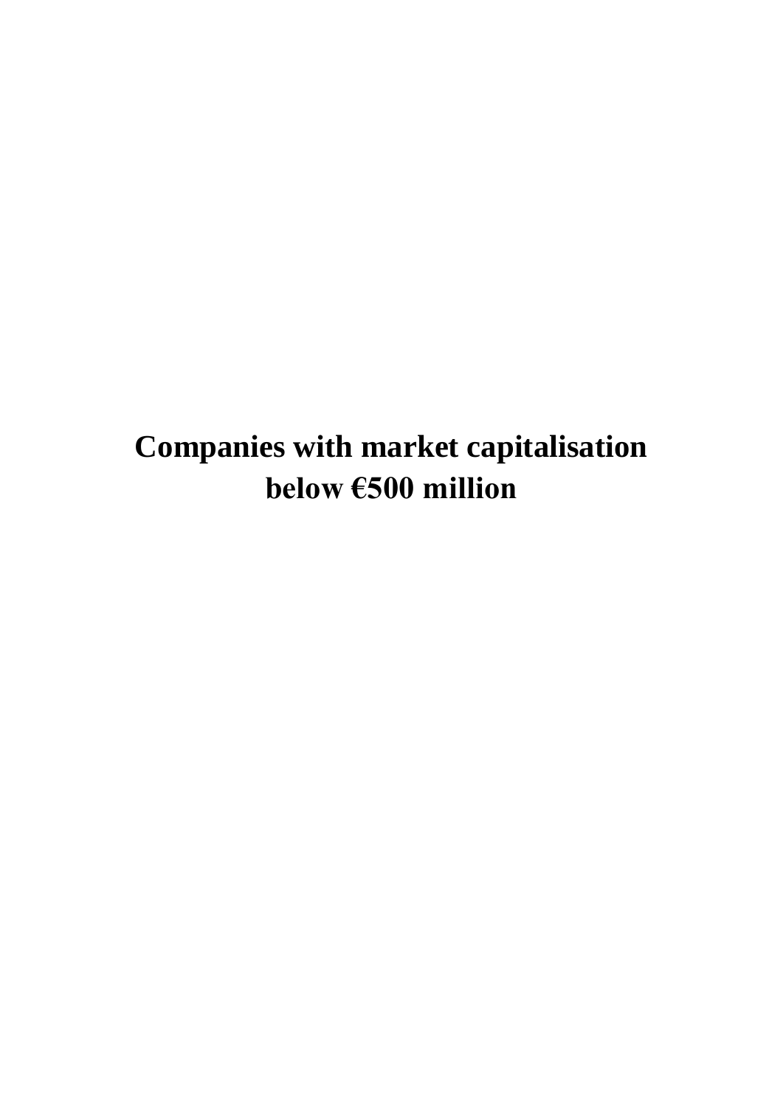## **Companies with market capitalisation below €500 million**